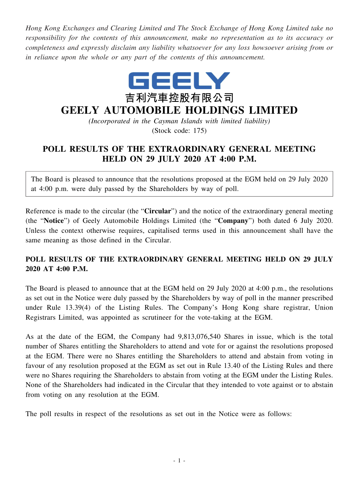*Hong Kong Exchanges and Clearing Limited and The Stock Exchange of Hong Kong Limited take no responsibility for the contents of this announcement, make no representation as to its accuracy or completeness and expressly disclaim any liability whatsoever for any loss howsoever arising from or in reliance upon the whole or any part of the contents of this announcement.*



## **GEELY AUTOMOBILE HOLDINGS LIMITED**

*(Incorporated in the Cayman Islands with limited liability)* (Stock code: 175)

## **POLL RESULTS OF THE EXTRAORDINARY GENERAL MEETING HELD ON 29 JULY 2020 AT 4:00 P.M.**

The Board is pleased to announce that the resolutions proposed at the EGM held on 29 July 2020 at 4:00 p.m. were duly passed by the Shareholders by way of poll.

Reference is made to the circular (the "**Circular**") and the notice of the extraordinary general meeting (the "**Notice**") of Geely Automobile Holdings Limited (the "**Company**") both dated 6 July 2020. Unless the context otherwise requires, capitalised terms used in this announcement shall have the same meaning as those defined in the Circular.

## **POLL RESULTS OF THE EXTRAORDINARY GENERAL MEETING HELD ON 29 JULY 2020 AT 4:00 P.M.**

The Board is pleased to announce that at the EGM held on 29 July 2020 at 4:00 p.m., the resolutions as set out in the Notice were duly passed by the Shareholders by way of poll in the manner prescribed under Rule 13.39(4) of the Listing Rules. The Company's Hong Kong share registrar, Union Registrars Limited, was appointed as scrutineer for the vote-taking at the EGM.

As at the date of the EGM, the Company had 9,813,076,540 Shares in issue, which is the total number of Shares entitling the Shareholders to attend and vote for or against the resolutions proposed at the EGM. There were no Shares entitling the Shareholders to attend and abstain from voting in favour of any resolution proposed at the EGM as set out in Rule 13.40 of the Listing Rules and there were no Shares requiring the Shareholders to abstain from voting at the EGM under the Listing Rules. None of the Shareholders had indicated in the Circular that they intended to vote against or to abstain from voting on any resolution at the EGM.

The poll results in respect of the resolutions as set out in the Notice were as follows: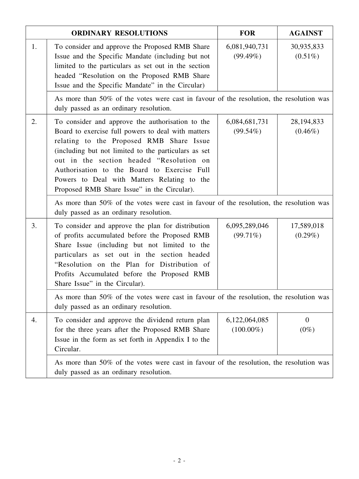| <b>ORDINARY RESOLUTIONS</b> |                                                                                                                                                                                                                                                                                                                                                                                                     | <b>FOR</b>                    | <b>AGAINST</b>             |  |  |
|-----------------------------|-----------------------------------------------------------------------------------------------------------------------------------------------------------------------------------------------------------------------------------------------------------------------------------------------------------------------------------------------------------------------------------------------------|-------------------------------|----------------------------|--|--|
| 1.                          | To consider and approve the Proposed RMB Share<br>Issue and the Specific Mandate (including but not<br>limited to the particulars as set out in the section<br>headed "Resolution on the Proposed RMB Share<br>Issue and the Specific Mandate" in the Circular)                                                                                                                                     | 6,081,940,731<br>$(99.49\%)$  | 30,935,833<br>$(0.51\%)$   |  |  |
|                             | As more than 50% of the votes were cast in favour of the resolution, the resolution was<br>duly passed as an ordinary resolution.                                                                                                                                                                                                                                                                   |                               |                            |  |  |
| 2.                          | To consider and approve the authorisation to the<br>Board to exercise full powers to deal with matters<br>relating to the Proposed RMB Share Issue<br>(including but not limited to the particulars as set<br>out in the section headed "Resolution on<br>Authorisation to the Board to Exercise Full<br>Powers to Deal with Matters Relating to the<br>Proposed RMB Share Issue" in the Circular). | 6,084,681,731<br>$(99.54\%)$  | 28, 194, 833<br>$(0.46\%)$ |  |  |
|                             | As more than 50% of the votes were cast in favour of the resolution, the resolution was<br>duly passed as an ordinary resolution.                                                                                                                                                                                                                                                                   |                               |                            |  |  |
| 3.                          | To consider and approve the plan for distribution<br>of profits accumulated before the Proposed RMB<br>Share Issue (including but not limited to the<br>particulars as set out in the section headed<br>"Resolution on the Plan for Distribution of<br>Profits Accumulated before the Proposed RMB<br>Share Issue" in the Circular).                                                                | 6,095,289,046<br>$(99.71\%)$  | 17,589,018<br>$(0.29\%)$   |  |  |
|                             | As more than 50% of the votes were cast in favour of the resolution, the resolution was<br>duly passed as an ordinary resolution.                                                                                                                                                                                                                                                                   |                               |                            |  |  |
| 4.                          | To consider and approve the dividend return plan<br>for the three years after the Proposed RMB Share<br>Issue in the form as set forth in Appendix I to the<br>Circular.                                                                                                                                                                                                                            | 6,122,064,085<br>$(100.00\%)$ | $\overline{0}$<br>$(0\%)$  |  |  |
|                             | As more than 50% of the votes were cast in favour of the resolution, the resolution was<br>duly passed as an ordinary resolution.                                                                                                                                                                                                                                                                   |                               |                            |  |  |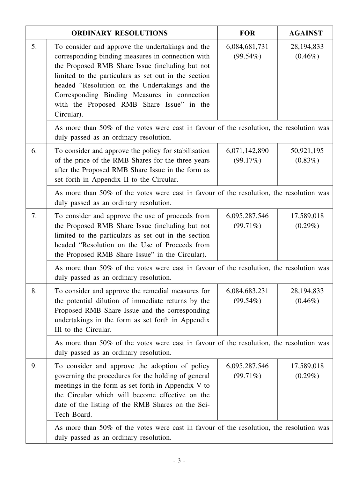|    | <b>ORDINARY RESOLUTIONS</b>                                                                                                                                                                                                                                                                                                                                                   | <b>FOR</b>                   | <b>AGAINST</b>             |  |  |
|----|-------------------------------------------------------------------------------------------------------------------------------------------------------------------------------------------------------------------------------------------------------------------------------------------------------------------------------------------------------------------------------|------------------------------|----------------------------|--|--|
| 5. | To consider and approve the undertakings and the<br>corresponding binding measures in connection with<br>the Proposed RMB Share Issue (including but not<br>limited to the particulars as set out in the section<br>headed "Resolution on the Undertakings and the<br>Corresponding Binding Measures in connection<br>with the Proposed RMB Share Issue" in the<br>Circular). | 6,084,681,731<br>$(99.54\%)$ | 28, 194, 833<br>$(0.46\%)$ |  |  |
|    | As more than 50% of the votes were cast in favour of the resolution, the resolution was<br>duly passed as an ordinary resolution.                                                                                                                                                                                                                                             |                              |                            |  |  |
| 6. | To consider and approve the policy for stabilisation<br>of the price of the RMB Shares for the three years<br>after the Proposed RMB Share Issue in the form as<br>set forth in Appendix II to the Circular.                                                                                                                                                                  | 6,071,142,890<br>(99.17%)    | 50,921,195<br>$(0.83\%)$   |  |  |
|    | As more than 50% of the votes were cast in favour of the resolution, the resolution was<br>duly passed as an ordinary resolution.                                                                                                                                                                                                                                             |                              |                            |  |  |
| 7. | To consider and approve the use of proceeds from<br>the Proposed RMB Share Issue (including but not<br>limited to the particulars as set out in the section<br>headed "Resolution on the Use of Proceeds from<br>the Proposed RMB Share Issue" in the Circular).                                                                                                              | 6,095,287,546<br>$(99.71\%)$ | 17,589,018<br>$(0.29\%)$   |  |  |
|    | As more than 50% of the votes were cast in favour of the resolution, the resolution was<br>duly passed as an ordinary resolution.                                                                                                                                                                                                                                             |                              |                            |  |  |
| 8. | To consider and approve the remedial measures for<br>the potential dilution of immediate returns by the<br>Proposed RMB Share Issue and the corresponding<br>undertakings in the form as set forth in Appendix<br>III to the Circular.                                                                                                                                        | 6,084,683,231<br>$(99.54\%)$ | 28, 194, 833<br>$(0.46\%)$ |  |  |
|    | As more than 50% of the votes were cast in favour of the resolution, the resolution was<br>duly passed as an ordinary resolution.                                                                                                                                                                                                                                             |                              |                            |  |  |
| 9. | To consider and approve the adoption of policy<br>governing the procedures for the holding of general<br>meetings in the form as set forth in Appendix V to<br>the Circular which will become effective on the<br>date of the listing of the RMB Shares on the Sci-<br>Tech Board.                                                                                            | 6,095,287,546<br>$(99.71\%)$ | 17,589,018<br>$(0.29\%)$   |  |  |
|    | As more than 50% of the votes were cast in favour of the resolution, the resolution was<br>duly passed as an ordinary resolution.                                                                                                                                                                                                                                             |                              |                            |  |  |